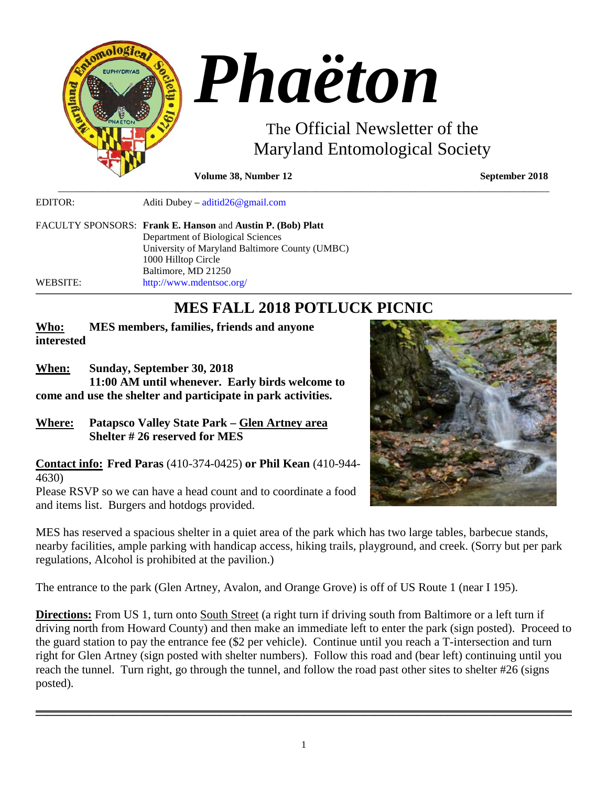

**Volume 38, Number 12** September 2018

EDITOR: Aditi Dubey – [aditid26@gmail.com](mailto:aditid26@gmail.com)

FACULTY SPONSORS: **Frank E. Hanson** and **Austin P. (Bob) Platt** Department of Biological Sciences University of Maryland Baltimore County (UMBC) 1000 Hilltop Circle Baltimore, MD 21250 WEBSITE: <http://www.mdentsoc.org/>

# **\_\_\_\_\_\_\_\_\_\_\_\_\_\_\_\_\_\_\_\_\_\_\_\_\_\_\_\_\_\_\_\_\_\_\_\_\_\_\_\_\_\_\_\_\_\_\_\_\_\_\_\_\_\_\_\_\_\_\_\_\_\_\_\_\_\_\_\_\_\_\_\_\_\_\_\_\_\_\_\_\_\_\_\_\_\_\_\_\_\_\_\_\_\_\_\_\_\_\_\_\_\_\_\_\_\_\_\_\_\_\_\_\_\_\_\_\_\_\_\_\_\_\_\_\_\_\_\_\_\_\_\_\_\_\_\_\_\_\_\_\_\_\_\_\_\_\_\_\_\_\_\_\_\_\_\_\_\_\_\_\_\_\_\_\_\_\_\_\_\_\_\_\_\_\_\_\_\_\_\_\_\_\_\_\_\_\_\_\_\_\_\_\_\_\_\_\_\_\_\_\_\_\_\_\_\_\_\_\_\_\_\_\_\_\_\_\_\_\_\_\_\_\_\_\_\_\_\_\_\_\_\_\_\_\_\_\_\_\_\_\_\_\_\_\_\_\_\_\_\_\_\_\_\_\_\_\_\_\_\_\_\_\_\_\_\_\_\_\_\_\_\_\_\_\_\_\_\_\_\_\_\_\_\_\_\_\_\_\_\_\_\_\_\_\_\_\_\_\_\_\_\_\_\_\_\_\_\_\_\_\_\_\_\_\_\_\_\_\_\_\_\_\_\_\_\_\_\_\_\_\_\_\_\_\_\_\_\_\_\_\_\_\_\_\_\_\_\_\_\_\_\_\_\_\_\_\_\_\_\_ MES FALL 2018 POTLUCK PICNIC**

\_\_\_\_\_\_\_\_\_\_\_\_\_\_\_\_\_\_\_\_\_\_\_\_\_\_\_\_\_\_\_\_\_\_\_\_\_\_\_\_\_\_\_\_\_\_\_\_\_\_\_\_\_\_\_\_\_\_\_\_\_\_\_\_\_\_\_\_\_\_\_\_\_\_\_\_\_\_\_\_\_\_\_\_\_\_\_\_\_\_\_\_\_\_\_\_\_\_\_

**Who: MES members, families, friends and anyone interested**

**When: Sunday, September 30, 2018 11:00 AM until whenever. Early birds welcome to come and use the shelter and participate in park activities.**

**Where: Patapsco Valley State Park – Glen Artney area Shelter # 26 reserved for MES**

**Contact info: Fred Paras** (410-374-0425) **or Phil Kean** (410-944- 4630)

Please RSVP so we can have a head count and to coordinate a food and items list. Burgers and hotdogs provided.



MES has reserved a spacious shelter in a quiet area of the park which has two large tables, barbecue stands, nearby facilities, ample parking with handicap access, hiking trails, playground, and creek. (Sorry but per park regulations, Alcohol is prohibited at the pavilion.)

The entrance to the park (Glen Artney, Avalon, and Orange Grove) is off of US Route 1 (near I 195).

**Directions:** From US 1, turn onto South Street (a right turn if driving south from Baltimore or a left turn if driving north from Howard County) and then make an immediate left to enter the park (sign posted). Proceed to the guard station to pay the entrance fee (\$2 per vehicle). Continue until you reach a T-intersection and turn right for Glen Artney (sign posted with shelter numbers). Follow this road and (bear left) continuing until you reach the tunnel. Turn right, go through the tunnel, and follow the road past other sites to shelter #26 (signs posted).

**\_\_\_\_\_\_\_\_\_\_\_\_\_\_\_\_\_\_\_\_\_\_\_\_\_\_\_\_\_\_\_\_\_\_\_\_\_\_\_\_\_\_\_\_\_\_\_\_\_\_\_\_\_\_\_\_\_\_\_\_\_\_\_\_\_\_\_\_\_\_\_\_\_\_\_\_\_\_\_\_\_\_\_\_\_\_\_\_\_\_**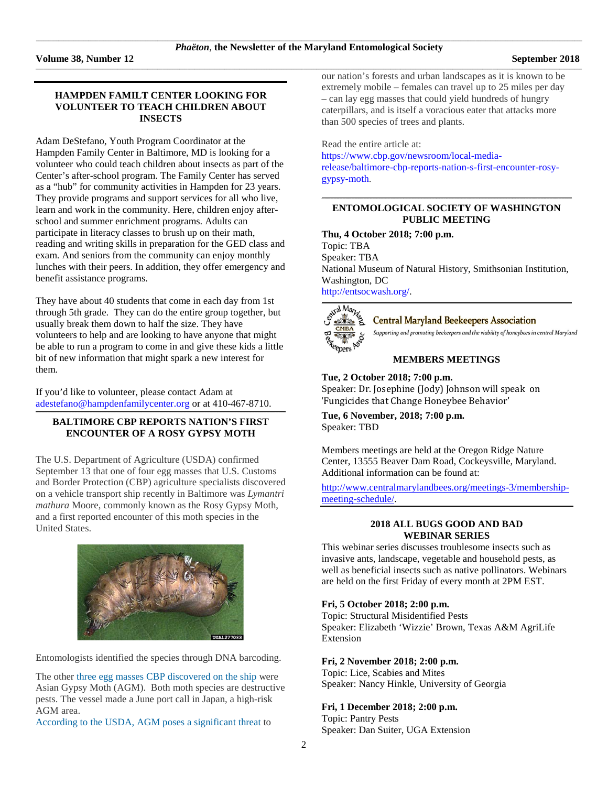# \_\_\_\_\_\_\_\_\_\_\_\_\_\_\_\_\_\_\_\_\_\_\_\_\_\_\_\_\_\_\_\_\_\_\_\_\_\_\_\_\_\_\_\_\_\_\_\_\_\_\_\_\_\_\_\_\_\_\_\_\_\_\_\_\_\_\_\_\_\_\_\_\_\_\_\_\_\_\_\_\_\_\_\_\_\_\_\_\_\_\_\_\_\_\_\_\_\_\_\_\_\_\_\_\_\_\_\_\_\_\_\_\_\_\_\_\_\_\_\_\_\_\_\_\_\_\_\_\_\_\_\_\_\_\_\_\_\_\_\_\_\_\_\_\_\_\_\_\_\_\_\_\_\_\_\_\_\_\_\_\_\_\_\_\_\_\_\_\_\_\_\_\_\_\_\_\_\_\_\_\_\_\_\_\_\_\_\_\_\_\_\_\_\_\_\_\_\_\_\_\_\_\_\_\_\_\_\_\_\_\_\_\_\_\_\_\_\_\_\_

# **HAMPDEN FAMILT CENTER LOOKING FOR VOLUNTEER TO TEACH CHILDREN ABOUT INSECTS**

Adam DeStefano, Youth Program Coordinator at the Hampden Family Center in Baltimore, MD is looking for a volunteer who could teach children about insects as part of the Center's after-school program. The Family Center has served as a "hub" for community activities in Hampden for 23 [years.](https://hampdenfamilycenter.org/about-us/community/)  They provide [programs](https://hampdenfamilycenter.org/programs/) and support services for all who live, learn and work in the community. Here, [children](https://hampdenfamilycenter.org/programs/youth/) enjoy afterschool and summer enrichment programs. [Adults](https://hampdenfamilycenter.org/programs/adults-and-seniors/) can participate in literacy classes to brush up on their math, reading and writing skills in preparation for the GED class and exam. And [seniors](https://hampdenfamilycenter.org/programs/adults-and-seniors/) from the community can enjoy monthly lunches with their peers. In addition, they offer emergency and benefit assistance programs.

They have about 40 students that come in each day from 1st through 5th grade. They can do the entire group together, but usually break them down to half the size. They have volunteers to help and are looking to have anyone that might be able to run a program to come in and give these kids a little bit of new information that might spark a new interest for them.

If you'd like to volunteer, please contact Adam at [adestefano@hampdenfamilycenter.org](mailto:adestefano@hampdenfamilycenter.org) or at 410-467-8710.

#### **\_\_\_\_\_\_\_\_\_\_\_\_\_\_\_\_\_\_\_\_\_\_\_\_\_\_\_\_\_\_\_\_\_\_\_\_\_\_\_\_\_\_\_\_\_\_\_\_\_\_\_\_\_\_\_\_\_\_\_\_\_\_\_\_\_\_\_\_\_\_\_\_\_\_\_\_\_\_\_\_\_\_\_\_\_\_\_\_\_\_\_\_\_\_\_\_\_\_\_\_\_\_\_\_\_\_\_\_\_\_\_\_\_\_\_\_\_\_\_\_\_\_\_\_\_\_\_\_\_\_\_\_\_\_\_\_\_\_\_\_\_\_\_\_\_\_\_\_\_\_\_\_\_\_\_\_\_\_\_\_\_\_\_\_\_\_\_\_ BALTIMORE CBP REPORTS NATION'S FIRST ENCOUNTER OF A ROSY GYPSY MOTH**

The U.S. Department of Agriculture (USDA) confirmed September 13 that one of four egg masses that U.S. Customs and Border Protection (CBP) agriculture specialists discovered on a vehicle transport ship recently in Baltimore was *Lymantri mathura* Moore, commonly known as the Rosy Gypsy Moth, and a first reported encounter of this moth species in the United States.



Entomologists identified the species through DNA barcoding.

The other three egg masses CBP [discovered](https://www.cbp.gov/newsroom/local-media-release/baltimore-cbp-intercepts-more-destructive-asian-gypsy-moth-egg-masses) on the ship were Asian Gypsy Moth (AGM). Both moth species are destructive pests. The vessel made a June port call in Japan, a high-risk AGM area.

[According](https://www.aphis.usda.gov/aphis/ourfocus/planthealth/plant-pest-and-disease-programs/pests-and-diseases/gypsy-moth/ct_gypsy_moth) to the USDA, AGM poses a significant threat to

our nation's forests and urban landscapes as it is known to be extremely mobile – females can travel up to 25 miles per day – can lay egg masses that could yield hundreds of hungry caterpillars, and is itself a voracious eater that attacks more than 500 species of trees and plants.

Read the entire article at:

[https://www.cbp.gov/newsroom/local-media](https://www.cbp.gov/newsroom/local-media-release/baltimore-cbp-reports-nation-s-first-encounter-rosy-gypsy-moth)[release/baltimore-cbp-reports-nation-s-first-encounter-rosy](https://www.cbp.gov/newsroom/local-media-release/baltimore-cbp-reports-nation-s-first-encounter-rosy-gypsy-moth)[gypsy-moth.](https://www.cbp.gov/newsroom/local-media-release/baltimore-cbp-reports-nation-s-first-encounter-rosy-gypsy-moth)

#### **\_\_\_\_\_\_\_\_\_\_\_\_\_\_\_\_\_\_\_\_\_\_\_\_\_\_\_\_\_\_\_\_\_\_\_\_\_\_\_\_\_\_\_\_\_\_\_\_\_\_\_\_\_\_\_\_\_\_\_\_\_\_\_\_\_\_\_\_\_\_\_\_\_\_\_\_\_\_\_\_\_\_\_\_\_\_\_\_\_\_\_\_\_\_\_\_\_\_\_\_\_\_\_\_\_\_\_\_\_\_\_\_\_\_\_\_\_\_\_\_\_\_\_\_\_\_\_\_\_\_\_\_\_\_\_\_\_\_\_\_\_\_\_\_\_\_\_\_\_\_\_\_\_\_\_\_\_\_\_\_\_\_\_\_\_\_\_\_ ENTOMOLOGICAL SOCIETY OF WASHINGTON PUBLIC MEETING**

**Thu, 4 October 2018; 7:00 p.m.**

Topic: TBA Speaker: TBA National Museum of Natural History, Smithsonian Institution, Washington, DC [http://entsocwash.org/.](http://entsocwash.org/)



# **Central Maryland Beekeepers Association**

Supporting and promoting beekeepers and the viability of honeybees in central Maryland

# **MEMBERS MEETINGS**

# **Tue, 2 October 2018; 7:00 p.m.**

Speaker: Dr. Josephine (Jody) Johnson will speak on 'Fungicides that Change Honeybee Behavior'

**Tue, 6 November, 2018; 7:00 p.m.** Speaker: TBD

Members meetings are held at the Oregon Ridge Nature Center, 13555 Beaver Dam Road, Cockeysville, Maryland. Additional information can be found at:

[http://www.centralmarylandbees.org/meetings-3/membership](http://www.centralmarylandbees.org/meetings-3/membership-meeting-schedule/)[meeting-schedule/.](http://www.centralmarylandbees.org/meetings-3/membership-meeting-schedule/)

#### **2018 ALL BUGS GOOD AND BAD WEBINAR SERIES**

This webinar series discusses troublesome insects such as invasive ants, landscape, vegetable and household pests, as well as beneficial insects such as native pollinators. Webinars are held on the first Friday of every month at 2PM EST.

#### **Fri, 5 October 2018; 2:00 p.m.**

Topic: Structural Misidentified Pests Speaker: Elizabeth 'Wizzie' Brown, Texas A&M AgriLife Extension

# **Fri, 2 November 2018; 2:00 p.m.**

Topic: Lice, Scabies and Mites Speaker: Nancy Hinkle, University of Georgia

# **Fri, 1 December 2018; 2:00 p.m.**

Topic: Pantry Pests Speaker: Dan Suiter, UGA Extension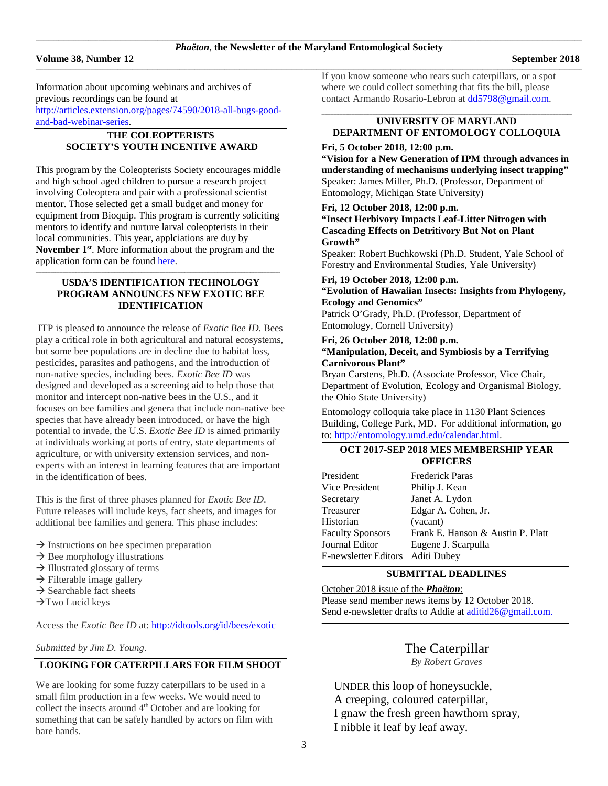Information about upcoming webinars and archives of previous recordings can be found at [http://articles.extension.org/pages/74590/2018-all-bugs-good](http://articles.extension.org/pages/74590/2018-all-bugs-good-and-bad-webinar-series)[and-bad-webinar-series.](http://articles.extension.org/pages/74590/2018-all-bugs-good-and-bad-webinar-series)**\_** 

# **THE COLEOPTERISTS SOCIETY'S YOUTH INCENTIVE AWARD**

This program by the Coleopterists Society encourages middle and high school aged children to pursue a research project involving Coleoptera and pair with a professional scientist mentor. Those selected get a small budget and money for equipment from Bioquip. This program is currently soliciting mentors to identify and nurture larval coleopterists in their local communities. This year, applciations are duy by **November 1st**. More information about the program and the application form can be found [here.](http://www.coleopsoc.org/default.asp?Action=Show_SocietyInfo&ID=Youth)

### **USDA'S IDENTIFICATION TECHNOLOGY PROGRAM ANNOUNCES NEW EXOTIC BEE IDENTIFICATION**

**\_\_\_\_\_\_\_\_\_\_\_\_\_\_\_\_\_\_\_\_\_\_\_\_\_\_\_\_\_\_\_\_\_\_\_\_\_\_\_\_\_\_\_\_\_\_\_\_\_\_\_\_\_\_\_\_\_\_\_\_\_\_\_\_\_\_\_\_\_\_\_\_\_\_\_\_\_\_\_\_\_\_\_\_\_\_\_\_\_\_\_\_\_\_\_\_\_\_\_\_\_\_\_\_\_\_\_\_\_\_\_\_\_\_\_\_\_\_\_\_\_\_\_\_\_\_\_\_\_\_\_\_\_\_\_\_\_\_\_\_\_\_\_\_\_\_\_\_\_\_\_\_\_\_\_\_\_\_\_\_\_\_\_\_**

ITP is pleased to announce the release of *Exotic Bee ID*. Bees play a critical role in both agricultural and natural ecosystems, but some bee populations are in decline due to habitat loss, pesticides, parasites and pathogens, and the introduction of non-native species, including bees. *Exotic Bee ID* was designed and developed as a screening aid to help those that monitor and intercept non-native bees in the U.S., and it focuses on bee families and genera that include non-native bee species that have already been introduced, or have the high potential to invade, the U.S. *Exotic Bee ID* is aimed primarily at individuals working at ports of entry, state departments of agriculture, or with university extension services, and nonexperts with an interest in learning features that are important in the identification of bees.

This is the first of three phases planned for *Exotic Bee ID*. Future releases will include keys, fact sheets, and images for additional bee families and genera. This phase includes:

- $\rightarrow$  Instructions on bee specimen preparation
- $\rightarrow$  Bee morphology illustrations
- $\rightarrow$  Illustrated glossary of terms
- $\rightarrow$  Filterable image gallery
- $\rightarrow$  Searchable fact sheets
- $\rightarrow$ Two Lucid keys

Access the *Exotic Bee ID* at[: http://idtools.org/id/bees/exotic](http://idtools.org/id/bees/exotic)

*Submitted by Jim D. Young*.

## **LOOKING FOR CATERPILLARS FOR FILM SHOOT**

We are looking for some fuzzy caterpillars to be used in a small film production in a few weeks. We would need to collect the insects around 4<sup>th</sup> October and are looking for something that can be safely handled by actors on film with bare hands.

If you know someone who rears such caterpillars, or a spot where we could collect something that fits the bill, please contact Armando Rosario-Lebron at [dd5798@gmail.com.](https://d.docs.live.net/fc9dffb43a36b539/Phaeton/dd5798@gmail.com)

# **UNIVERSITY OF MARYLAND DEPARTMENT OF ENTOMOLOGY COLLOQUIA**

#### **Fri, 5 October 2018, 12:00 p.m.**

**"Vision for a New Generation of IPM through advances in understanding of mechanisms underlying insect trapping"** Speaker: James Miller, Ph.D. (Professor, Department of Entomology, Michigan State University)

#### **Fri, 12 October 2018, 12:00 p.m.**

### **"Insect Herbivory Impacts Leaf-Litter Nitrogen with Cascading Effects on Detritivory But Not on Plant Growth"**

Speaker: Robert Buchkowski (Ph.D. Student, Yale School of Forestry and Environmental Studies, Yale University)

#### **Fri, 19 October 2018, 12:00 p.m.**

# **"Evolution of Hawaiian Insects: Insights from Phylogeny, Ecology and Genomics"**

Patrick O'Grady, Ph.D. (Professor, Department of Entomology, Cornell University)

#### **Fri, 26 October 2018, 12:00 p.m.**

#### **"Manipulation, Deceit, and Symbiosis by a Terrifying Carnivorous Plant"**

Bryan Carstens, Ph.D. (Associate Professor, Vice Chair, Department of Evolution, Ecology and Organismal Biology, the Ohio State University)

Entomology colloquia take place in 1130 Plant Sciences Building, College Park, MD. For additional information, go to: [http://entomology.umd.edu/calendar.html.](http://entomology.umd.edu/calendar.html)

#### **\_\_\_\_\_\_\_\_\_\_\_\_\_\_\_\_\_\_\_\_\_\_\_\_\_\_\_\_\_\_\_\_\_\_\_\_\_\_\_\_\_\_\_\_\_\_\_\_\_\_\_\_\_\_\_\_\_\_\_\_\_\_\_\_\_\_\_\_\_\_\_\_\_\_\_\_\_\_\_\_\_\_\_\_\_\_\_\_\_\_\_\_\_\_\_\_\_\_\_\_\_\_\_\_\_\_\_\_\_\_\_\_\_\_\_\_\_\_\_\_\_\_\_\_\_\_\_\_\_\_\_\_\_\_\_\_\_\_\_\_\_\_\_\_\_\_\_\_\_\_\_\_\_\_\_\_\_\_\_\_\_\_\_\_\_\_ OCT 2017-SEP 2018 MES MEMBERSHIP YEAR OFFICERS**

President Frederick Paras Vice President Philip J. Kean Secretary Janet A. Lydon Treasurer Edgar A. Cohen, Jr. Historian (vacant) Faculty Sponsors Frank E. Hanson & Austin P. Platt Journal Editor Eugene J. Scarpulla E-newsletter Editors Aditi Dubey

#### **\_\_\_\_\_\_\_\_\_\_\_\_\_\_\_\_\_\_\_\_\_\_\_\_\_\_\_\_\_\_\_\_\_\_\_\_\_\_\_\_\_\_\_\_\_\_\_\_\_\_\_\_\_\_\_\_\_\_\_\_\_\_\_\_\_\_\_\_\_\_\_\_\_\_\_\_\_\_\_\_\_\_\_\_\_\_\_\_\_\_\_\_\_\_\_\_\_\_\_\_\_\_\_\_\_\_\_\_\_\_\_\_\_\_\_\_\_\_\_\_\_\_\_\_\_\_\_\_\_\_\_\_\_\_\_\_\_\_\_\_\_\_\_\_\_\_\_\_\_\_\_\_\_\_\_\_\_\_\_\_\_\_\_\_\_\_ SUBMITTAL DEADLINES**

October 2018 issue of the *Phaëton*: Please send member news items by 12 October 2018. Send e-newsletter drafts to Addie at [aditid26@gmail.com.](mailto:aditid26@gmail.com)

> The Caterpillar *By Robert Graves*

**\_\_\_\_\_\_\_\_\_\_\_\_\_\_\_\_\_\_\_\_\_\_\_\_\_\_\_\_\_\_\_\_\_\_\_\_\_\_\_\_\_\_\_\_\_\_\_\_\_\_\_\_\_\_\_\_\_\_\_\_\_\_\_\_\_\_\_\_\_\_\_\_\_\_\_\_\_\_\_\_\_\_\_\_\_\_\_\_\_\_\_\_\_\_\_\_\_\_\_\_\_\_\_\_\_\_\_\_\_\_\_\_\_\_\_\_\_\_\_\_\_\_\_\_\_\_\_\_\_\_\_\_\_\_\_\_\_\_\_\_\_\_\_\_\_\_\_\_\_\_\_\_\_\_\_\_\_\_\_\_\_\_\_\_\_\_**

UNDER this loop of honeysuckle, A creeping, coloured caterpillar, I gnaw the fresh green hawthorn spray, I nibble it leaf by leaf away.